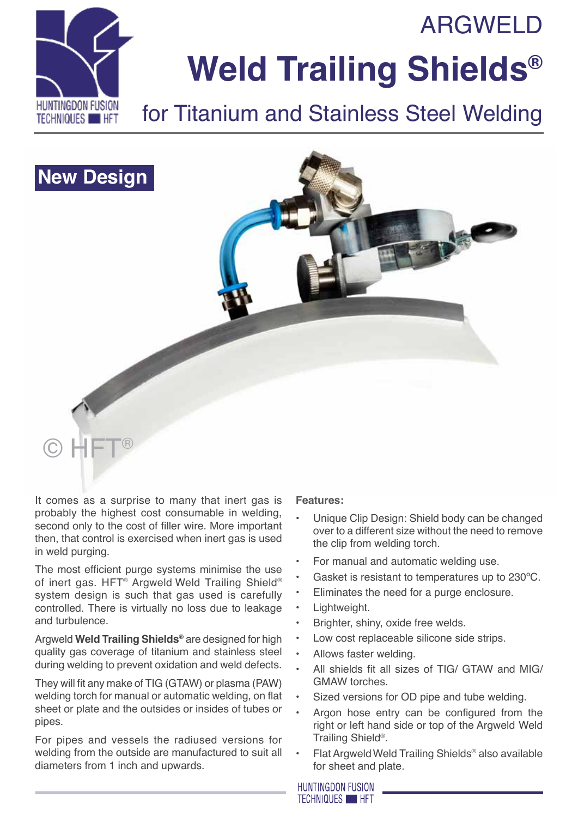**ARGWELD** 



# **Weld Trailing Shields®**

## for Titanium and Stainless Steel Welding



It comes as a surprise to many that inert gas is probably the highest cost consumable in welding, second only to the cost of filler wire. More important then, that control is exercised when inert gas is used in weld purging.

The most efficient purge systems minimise the use of inert gas. HFT® Argweld Weld Trailing Shield® system design is such that gas used is carefully controlled. There is virtually no loss due to leakage and turbulence.

Argweld **Weld Trailing Shields®** are designed for high quality gas coverage of titanium and stainless steel during welding to prevent oxidation and weld defects.

They will fit any make of TIG (GTAW) or plasma (PAW) welding torch for manual or automatic welding, on flat sheet or plate and the outsides or insides of tubes or pipes.

For pipes and vessels the radiused versions for welding from the outside are manufactured to suit all diameters from 1 inch and upwards.

### **Features:**

- Unique Clip Design: Shield body can be changed over to a different size without the need to remove the clip from welding torch.
- For manual and automatic welding use.
- Gasket is resistant to temperatures up to 230°C.
- Eliminates the need for a purge enclosure.
- Lightweight.
- Brighter, shiny, oxide free welds.
- Low cost replaceable silicone side strips.
- Allows faster welding.
- All shields fit all sizes of TIG/ GTAW and MIG/ GMAW torches.
- Sized versions for OD pipe and tube welding.
- Argon hose entry can be configured from the right or left hand side or top of the Argweld Weld Trailing Shield®.
- Flat Argweld Weld Trailing Shields<sup>®</sup> also available for sheet and plate.

**HUNTINGDON FUSION TECHNIQUES HET**